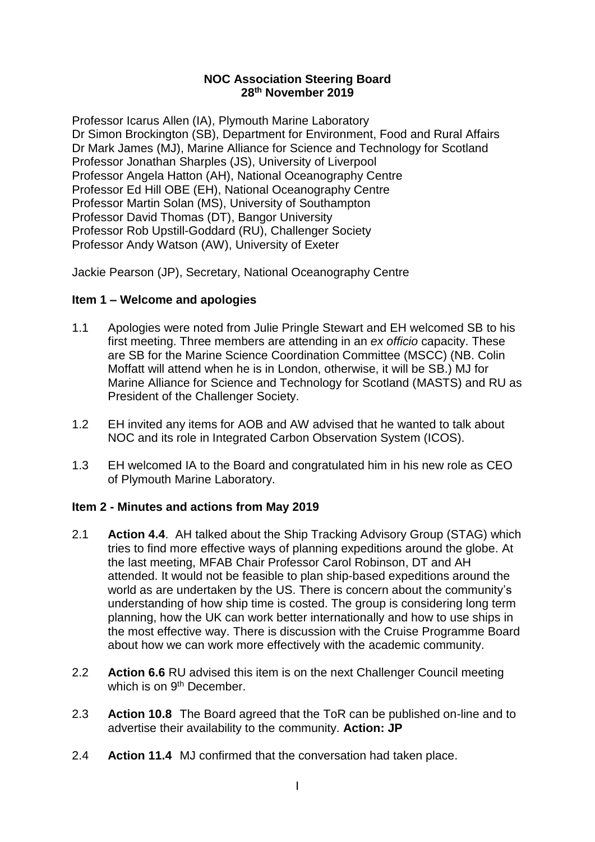### **NOC Association Steering Board 28th November 2019**

Professor Icarus Allen (IA), Plymouth Marine Laboratory Dr Simon Brockington (SB), Department for Environment, Food and Rural Affairs Dr Mark James (MJ), Marine Alliance for Science and Technology for Scotland Professor Jonathan Sharples (JS), University of Liverpool Professor Angela Hatton (AH), National Oceanography Centre Professor Ed Hill OBE (EH), National Oceanography Centre Professor Martin Solan (MS), University of Southampton Professor David Thomas (DT), Bangor University Professor Rob Upstill-Goddard (RU), Challenger Society Professor Andy Watson (AW), University of Exeter

Jackie Pearson (JP), Secretary, National Oceanography Centre

# **Item 1 – Welcome and apologies**

- 1.1 Apologies were noted from Julie Pringle Stewart and EH welcomed SB to his first meeting. Three members are attending in an *ex officio* capacity. These are SB for the Marine Science Coordination Committee (MSCC) (NB. Colin Moffatt will attend when he is in London, otherwise, it will be SB.) MJ for Marine Alliance for Science and Technology for Scotland (MASTS) and RU as President of the Challenger Society.
- 1.2 EH invited any items for AOB and AW advised that he wanted to talk about NOC and its role in Integrated Carbon Observation System (ICOS).
- 1.3 EH welcomed IA to the Board and congratulated him in his new role as CEO of Plymouth Marine Laboratory.

# **Item 2 - Minutes and actions from May 2019**

- 2.1 **Action 4.4**. AH talked about the Ship Tracking Advisory Group (STAG) which tries to find more effective ways of planning expeditions around the globe. At the last meeting, MFAB Chair Professor Carol Robinson, DT and AH attended. It would not be feasible to plan ship-based expeditions around the world as are undertaken by the US. There is concern about the community's understanding of how ship time is costed. The group is considering long term planning, how the UK can work better internationally and how to use ships in the most effective way. There is discussion with the Cruise Programme Board about how we can work more effectively with the academic community.
- 2.2 **Action 6.6** RU advised this item is on the next Challenger Council meeting which is on 9<sup>th</sup> December.
- 2.3 **Action 10.8** The Board agreed that the ToR can be published on-line and to advertise their availability to the community. **Action: JP**
- 2.4 **Action 11.4** MJ confirmed that the conversation had taken place.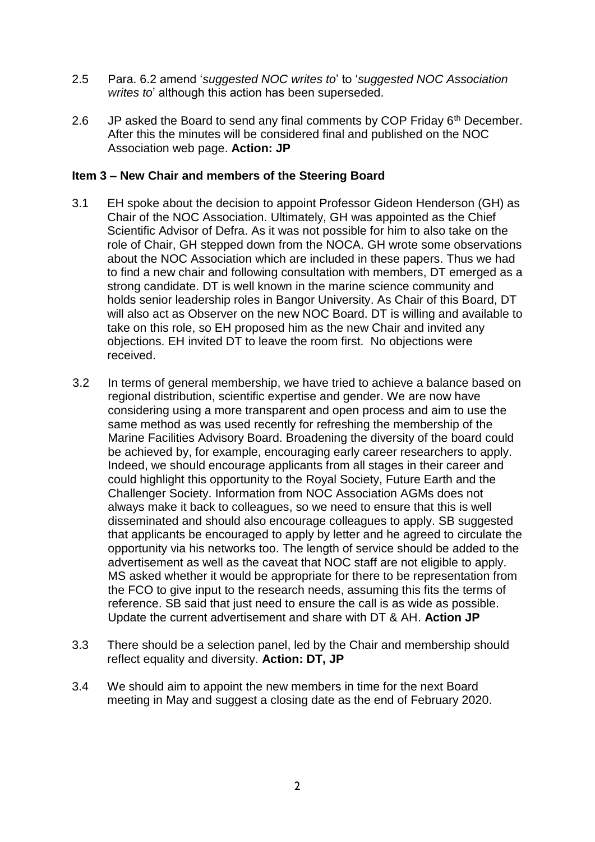- 2.5 Para. 6.2 amend '*suggested NOC writes to*' to '*suggested NOC Association writes to*' although this action has been superseded.
- 2.6 JP asked the Board to send any final comments by COP Friday  $6<sup>th</sup>$  December. After this the minutes will be considered final and published on the NOC Association web page. **Action: JP**

### **Item 3 – New Chair and members of the Steering Board**

- 3.1 EH spoke about the decision to appoint Professor Gideon Henderson (GH) as Chair of the NOC Association. Ultimately, GH was appointed as the Chief Scientific Advisor of Defra. As it was not possible for him to also take on the role of Chair, GH stepped down from the NOCA. GH wrote some observations about the NOC Association which are included in these papers. Thus we had to find a new chair and following consultation with members, DT emerged as a strong candidate. DT is well known in the marine science community and holds senior leadership roles in Bangor University. As Chair of this Board, DT will also act as Observer on the new NOC Board. DT is willing and available to take on this role, so EH proposed him as the new Chair and invited any objections. EH invited DT to leave the room first. No objections were received.
- 3.2 In terms of general membership, we have tried to achieve a balance based on regional distribution, scientific expertise and gender. We are now have considering using a more transparent and open process and aim to use the same method as was used recently for refreshing the membership of the Marine Facilities Advisory Board. Broadening the diversity of the board could be achieved by, for example, encouraging early career researchers to apply. Indeed, we should encourage applicants from all stages in their career and could highlight this opportunity to the Royal Society, Future Earth and the Challenger Society. Information from NOC Association AGMs does not always make it back to colleagues, so we need to ensure that this is well disseminated and should also encourage colleagues to apply. SB suggested that applicants be encouraged to apply by letter and he agreed to circulate the opportunity via his networks too. The length of service should be added to the advertisement as well as the caveat that NOC staff are not eligible to apply. MS asked whether it would be appropriate for there to be representation from the FCO to give input to the research needs, assuming this fits the terms of reference. SB said that just need to ensure the call is as wide as possible. Update the current advertisement and share with DT & AH. **Action JP**
- 3.3 There should be a selection panel, led by the Chair and membership should reflect equality and diversity. **Action: DT, JP**
- 3.4 We should aim to appoint the new members in time for the next Board meeting in May and suggest a closing date as the end of February 2020.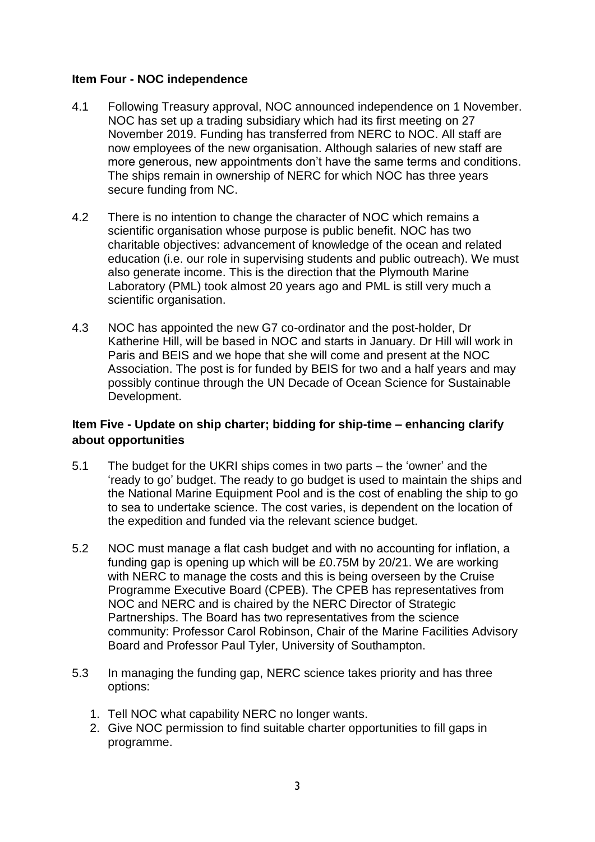### **Item Four - NOC independence**

- 4.1 Following Treasury approval, NOC announced independence on 1 November. NOC has set up a trading subsidiary which had its first meeting on 27 November 2019. Funding has transferred from NERC to NOC. All staff are now employees of the new organisation. Although salaries of new staff are more generous, new appointments don't have the same terms and conditions. The ships remain in ownership of NERC for which NOC has three years secure funding from NC.
- 4.2 There is no intention to change the character of NOC which remains a scientific organisation whose purpose is public benefit. NOC has two charitable objectives: advancement of knowledge of the ocean and related education (i.e. our role in supervising students and public outreach). We must also generate income. This is the direction that the Plymouth Marine Laboratory (PML) took almost 20 years ago and PML is still very much a scientific organisation.
- 4.3 NOC has appointed the new G7 co-ordinator and the post-holder, Dr Katherine Hill, will be based in NOC and starts in January. Dr Hill will work in Paris and BEIS and we hope that she will come and present at the NOC Association. The post is for funded by BEIS for two and a half years and may possibly continue through the UN Decade of Ocean Science for Sustainable Development.

# **Item Five - Update on ship charter; bidding for ship-time – enhancing clarify about opportunities**

- 5.1 The budget for the UKRI ships comes in two parts the 'owner' and the 'ready to go' budget. The ready to go budget is used to maintain the ships and the National Marine Equipment Pool and is the cost of enabling the ship to go to sea to undertake science. The cost varies, is dependent on the location of the expedition and funded via the relevant science budget.
- 5.2 NOC must manage a flat cash budget and with no accounting for inflation, a funding gap is opening up which will be £0.75M by 20/21. We are working with NERC to manage the costs and this is being overseen by the Cruise Programme Executive Board (CPEB). The CPEB has representatives from NOC and NERC and is chaired by the NERC Director of Strategic Partnerships. The Board has two representatives from the science community: Professor Carol Robinson, Chair of the Marine Facilities Advisory Board and Professor Paul Tyler, University of Southampton.
- 5.3 In managing the funding gap, NERC science takes priority and has three options:
	- 1. Tell NOC what capability NERC no longer wants.
	- 2. Give NOC permission to find suitable charter opportunities to fill gaps in programme.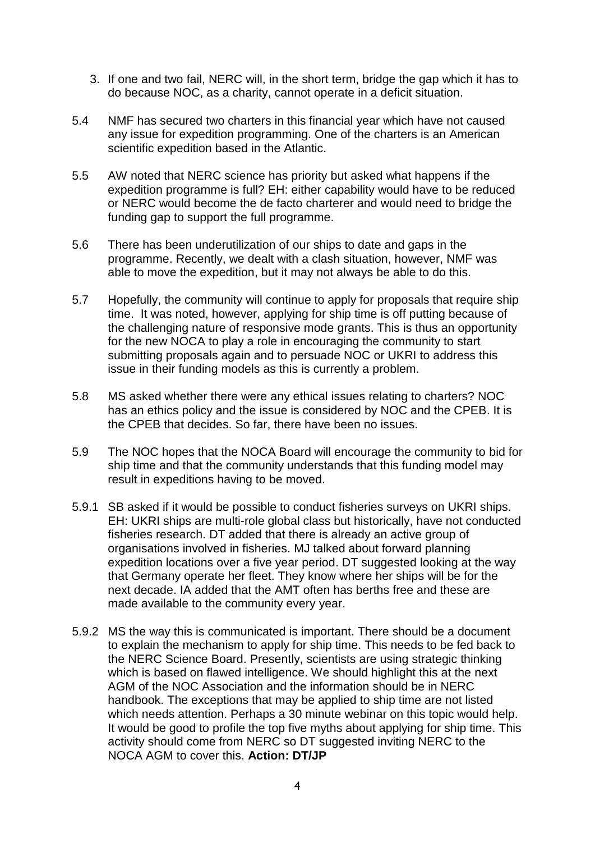- 3. If one and two fail, NERC will, in the short term, bridge the gap which it has to do because NOC, as a charity, cannot operate in a deficit situation.
- 5.4 NMF has secured two charters in this financial year which have not caused any issue for expedition programming. One of the charters is an American scientific expedition based in the Atlantic.
- 5.5 AW noted that NERC science has priority but asked what happens if the expedition programme is full? EH: either capability would have to be reduced or NERC would become the de facto charterer and would need to bridge the funding gap to support the full programme.
- 5.6 There has been underutilization of our ships to date and gaps in the programme. Recently, we dealt with a clash situation, however, NMF was able to move the expedition, but it may not always be able to do this.
- 5.7 Hopefully, the community will continue to apply for proposals that require ship time. It was noted, however, applying for ship time is off putting because of the challenging nature of responsive mode grants. This is thus an opportunity for the new NOCA to play a role in encouraging the community to start submitting proposals again and to persuade NOC or UKRI to address this issue in their funding models as this is currently a problem.
- 5.8 MS asked whether there were any ethical issues relating to charters? NOC has an ethics policy and the issue is considered by NOC and the CPEB. It is the CPEB that decides. So far, there have been no issues.
- 5.9 The NOC hopes that the NOCA Board will encourage the community to bid for ship time and that the community understands that this funding model may result in expeditions having to be moved.
- 5.9.1 SB asked if it would be possible to conduct fisheries surveys on UKRI ships. EH: UKRI ships are multi-role global class but historically, have not conducted fisheries research. DT added that there is already an active group of organisations involved in fisheries. MJ talked about forward planning expedition locations over a five year period. DT suggested looking at the way that Germany operate her fleet. They know where her ships will be for the next decade. IA added that the AMT often has berths free and these are made available to the community every year.
- 5.9.2 MS the way this is communicated is important. There should be a document to explain the mechanism to apply for ship time. This needs to be fed back to the NERC Science Board. Presently, scientists are using strategic thinking which is based on flawed intelligence. We should highlight this at the next AGM of the NOC Association and the information should be in NERC handbook. The exceptions that may be applied to ship time are not listed which needs attention. Perhaps a 30 minute webinar on this topic would help. It would be good to profile the top five myths about applying for ship time. This activity should come from NERC so DT suggested inviting NERC to the NOCA AGM to cover this. **Action: DT/JP**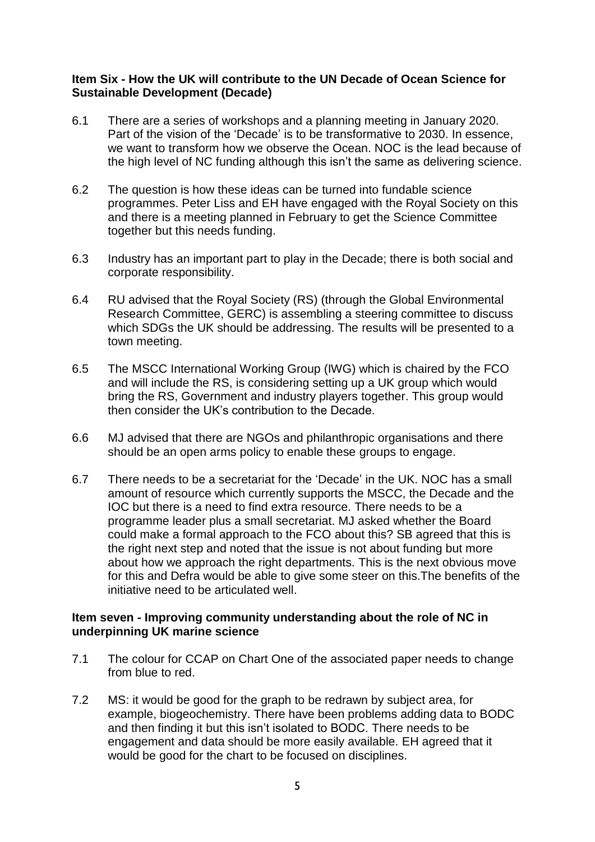### **Item Six - How the UK will contribute to the UN Decade of Ocean Science for Sustainable Development (Decade)**

- 6.1 There are a series of workshops and a planning meeting in January 2020. Part of the vision of the 'Decade' is to be transformative to 2030. In essence, we want to transform how we observe the Ocean. NOC is the lead because of the high level of NC funding although this isn't the same as delivering science.
- 6.2 The question is how these ideas can be turned into fundable science programmes. Peter Liss and EH have engaged with the Royal Society on this and there is a meeting planned in February to get the Science Committee together but this needs funding.
- 6.3 Industry has an important part to play in the Decade; there is both social and corporate responsibility.
- 6.4 RU advised that the Royal Society (RS) (through the Global Environmental Research Committee, GERC) is assembling a steering committee to discuss which SDGs the UK should be addressing. The results will be presented to a town meeting.
- 6.5 The MSCC International Working Group (IWG) which is chaired by the FCO and will include the RS, is considering setting up a UK group which would bring the RS, Government and industry players together. This group would then consider the UK's contribution to the Decade.
- 6.6 MJ advised that there are NGOs and philanthropic organisations and there should be an open arms policy to enable these groups to engage.
- 6.7 There needs to be a secretariat for the 'Decade' in the UK. NOC has a small amount of resource which currently supports the MSCC, the Decade and the IOC but there is a need to find extra resource. There needs to be a programme leader plus a small secretariat. MJ asked whether the Board could make a formal approach to the FCO about this? SB agreed that this is the right next step and noted that the issue is not about funding but more about how we approach the right departments. This is the next obvious move for this and Defra would be able to give some steer on this.The benefits of the initiative need to be articulated well.

#### **Item seven - Improving community understanding about the role of NC in underpinning UK marine science**

- 7.1 The colour for CCAP on Chart One of the associated paper needs to change from blue to red.
- 7.2 MS: it would be good for the graph to be redrawn by subject area, for example, biogeochemistry. There have been problems adding data to BODC and then finding it but this isn't isolated to BODC. There needs to be engagement and data should be more easily available. EH agreed that it would be good for the chart to be focused on disciplines.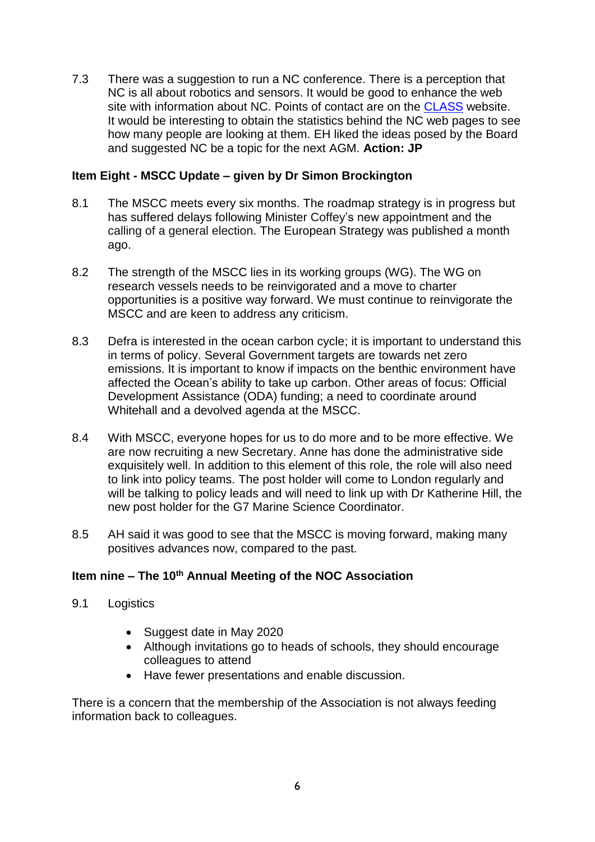7.3 There was a suggestion to run a NC conference. There is a perception that NC is all about robotics and sensors. It would be good to enhance the web site with information about NC. Points of contact are on the [CLASS](https://projects.noc.ac.uk/class/) website. It would be interesting to obtain the statistics behind the NC web pages to see how many people are looking at them. EH liked the ideas posed by the Board and suggested NC be a topic for the next AGM. **Action: JP**

## **Item Eight - MSCC Update – given by Dr Simon Brockington**

- 8.1 The MSCC meets every six months. The roadmap strategy is in progress but has suffered delays following Minister Coffey's new appointment and the calling of a general election. The European Strategy was published a month ago.
- 8.2 The strength of the MSCC lies in its working groups (WG). The WG on research vessels needs to be reinvigorated and a move to charter opportunities is a positive way forward. We must continue to reinvigorate the MSCC and are keen to address any criticism.
- 8.3 Defra is interested in the ocean carbon cycle; it is important to understand this in terms of policy. Several Government targets are towards net zero emissions. It is important to know if impacts on the benthic environment have affected the Ocean's ability to take up carbon. Other areas of focus: Official Development Assistance (ODA) funding; a need to coordinate around Whitehall and a devolved agenda at the MSCC.
- 8.4 With MSCC, everyone hopes for us to do more and to be more effective. We are now recruiting a new Secretary. Anne has done the administrative side exquisitely well. In addition to this element of this role, the role will also need to link into policy teams. The post holder will come to London regularly and will be talking to policy leads and will need to link up with Dr Katherine Hill, the new post holder for the G7 Marine Science Coordinator.
- 8.5 AH said it was good to see that the MSCC is moving forward, making many positives advances now, compared to the past.

# **Item nine – The 10th Annual Meeting of the NOC Association**

- 9.1 Logistics
	- Suggest date in May 2020
	- Although invitations go to heads of schools, they should encourage colleagues to attend
	- Have fewer presentations and enable discussion.

There is a concern that the membership of the Association is not always feeding information back to colleagues.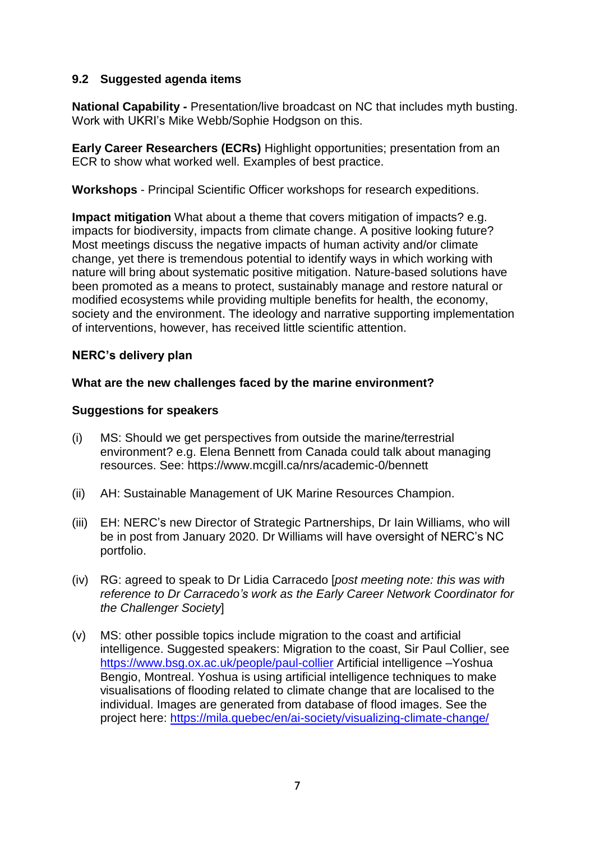## **9.2 Suggested agenda items**

**National Capability -** Presentation/live broadcast on NC that includes myth busting. Work with UKRI's Mike Webb/Sophie Hodgson on this.

**Early Career Researchers (ECRs)** Highlight opportunities; presentation from an ECR to show what worked well. Examples of best practice.

**Workshops** - Principal Scientific Officer workshops for research expeditions.

**Impact mitigation** What about a theme that covers mitigation of impacts? e.g. impacts for biodiversity, impacts from climate change. A positive looking future? Most meetings discuss the negative impacts of human activity and/or climate change, yet there is tremendous potential to identify ways in which working with nature will bring about systematic positive mitigation. Nature-based solutions have been promoted as a means to protect, sustainably manage and restore natural or modified ecosystems while providing multiple benefits for health, the economy, society and the environment. The ideology and narrative supporting implementation of interventions, however, has received little scientific attention.

# **NERC's delivery plan**

### **What are the new challenges faced by the marine environment?**

### **Suggestions for speakers**

- (i) MS: Should we get perspectives from outside the marine/terrestrial environment? e.g. Elena Bennett from Canada could talk about managing resources. See: https://www.mcgill.ca/nrs/academic-0/bennett
- (ii) AH: Sustainable Management of UK Marine Resources Champion.
- (iii) EH: NERC's new Director of Strategic Partnerships, Dr Iain Williams, who will be in post from January 2020. Dr Williams will have oversight of NERC's NC portfolio.
- (iv) RG: agreed to speak to Dr Lidia Carracedo [*post meeting note: this was with reference to Dr Carracedo's work as the Early Career Network Coordinator for the Challenger Society*]
- (v) MS: other possible topics include migration to the coast and artificial intelligence. Suggested speakers: Migration to the coast, Sir Paul Collier, see <https://www.bsg.ox.ac.uk/people/paul-collier> Artificial intelligence –Yoshua Bengio, Montreal. Yoshua is using artificial intelligence techniques to make visualisations of flooding related to climate change that are localised to the individual. Images are generated from database of flood images. See the project here:<https://mila.quebec/en/ai-society/visualizing-climate-change/>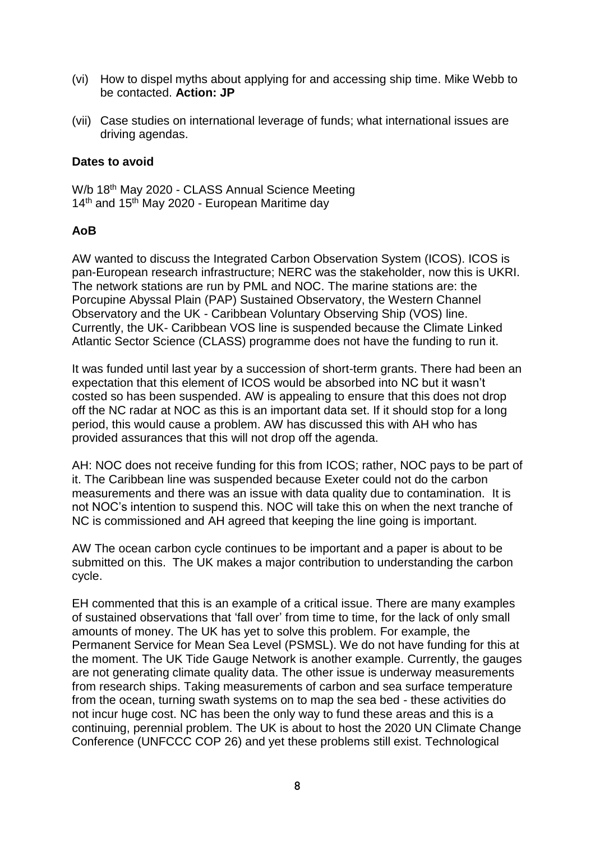- (vi) How to dispel myths about applying for and accessing ship time. Mike Webb to be contacted. **Action: JP**
- (vii) Case studies on international leverage of funds; what international issues are driving agendas.

### **Dates to avoid**

W/b 18<sup>th</sup> May 2020 - CLASS Annual Science Meeting 14<sup>th</sup> and 15<sup>th</sup> May 2020 - European Maritime dav

# **AoB**

AW wanted to discuss the Integrated Carbon Observation System (ICOS). ICOS is pan-European research infrastructure; NERC was the stakeholder, now this is UKRI. The network stations are run by PML and NOC. The marine stations are: the Porcupine Abyssal Plain (PAP) Sustained Observatory, the Western Channel Observatory and the UK - Caribbean Voluntary Observing Ship (VOS) line. Currently, the UK- Caribbean VOS line is suspended because the Climate Linked Atlantic Sector Science (CLASS) programme does not have the funding to run it.

It was funded until last year by a succession of short-term grants. There had been an expectation that this element of ICOS would be absorbed into NC but it wasn't costed so has been suspended. AW is appealing to ensure that this does not drop off the NC radar at NOC as this is an important data set. If it should stop for a long period, this would cause a problem. AW has discussed this with AH who has provided assurances that this will not drop off the agenda.

AH: NOC does not receive funding for this from ICOS; rather, NOC pays to be part of it. The Caribbean line was suspended because Exeter could not do the carbon measurements and there was an issue with data quality due to contamination. It is not NOC's intention to suspend this. NOC will take this on when the next tranche of NC is commissioned and AH agreed that keeping the line going is important.

AW The ocean carbon cycle continues to be important and a paper is about to be submitted on this. The UK makes a major contribution to understanding the carbon cycle.

EH commented that this is an example of a critical issue. There are many examples of sustained observations that 'fall over' from time to time, for the lack of only small amounts of money. The UK has yet to solve this problem. For example, the Permanent Service for Mean Sea Level (PSMSL). We do not have funding for this at the moment. The UK Tide Gauge Network is another example. Currently, the gauges are not generating climate quality data. The other issue is underway measurements from research ships. Taking measurements of carbon and sea surface temperature from the ocean, turning swath systems on to map the sea bed - these activities do not incur huge cost. NC has been the only way to fund these areas and this is a continuing, perennial problem. The UK is about to host the 2020 UN Climate Change Conference (UNFCCC COP 26) and yet these problems still exist. Technological